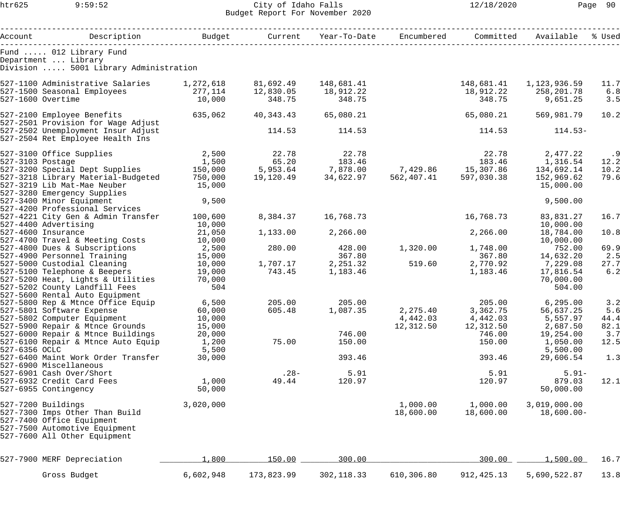## htr625 9:59:52 City of Idaho Falls 12/18/2020 Page 90 Budget Report For November 2020

| Account          | Description                                                            |                   |            | Budget Current Year-To-Date Encumbered                                                                                                                                                                                            |            | Committed   | Available                 | % Used |
|------------------|------------------------------------------------------------------------|-------------------|------------|-----------------------------------------------------------------------------------------------------------------------------------------------------------------------------------------------------------------------------------|------------|-------------|---------------------------|--------|
|                  |                                                                        |                   |            |                                                                                                                                                                                                                                   |            |             |                           |        |
|                  | Fund  012 Library Fund<br>Department  Library                          |                   |            |                                                                                                                                                                                                                                   |            |             |                           |        |
|                  | Division  5001 Library Administration                                  |                   |            |                                                                                                                                                                                                                                   |            |             |                           |        |
|                  | 527-1100 Administrative Salaries 1,272,618                             |                   | 81,692.49  | 148,681.41                                                                                                                                                                                                                        |            |             | 148,681.41   1,123,936.59 | 11.7   |
|                  | 527-1500 Seasonal Employees 277,114                                    |                   | 12,830.05  | 18,912.22                                                                                                                                                                                                                         |            |             | 18,912.22 258,201.78      | 6.8    |
|                  | 527-1600 Overtime                                                      | 10,000            | 348.75     | 348.75                                                                                                                                                                                                                            |            | 348.75      | 9,651.25                  | 3.5    |
|                  | 527-2100 Employee Benefits<br>527-2501 Provision for Wage Adjust       | 635,062           | 40,343.43  | 65,080.21                                                                                                                                                                                                                         |            | 65,080.21   | 569,981.79                | 10.2   |
|                  | 527-2502 Unemployment Insur Adjust<br>527-2504 Ret Employee Health Ins |                   | 114.53     | 114.53                                                                                                                                                                                                                            |            | 114.53      | $114.53-$                 |        |
|                  | 527-3100 Office Supplies                                               | 2,500             | 22.78      | 22.78                                                                                                                                                                                                                             |            | 22.78       | 2,477.22                  | .9     |
| 527-3103 Postage |                                                                        |                   |            |                                                                                                                                                                                                                                   |            |             |                           | 12.2   |
|                  | 527-3200 Special Dept Supplies                                         |                   |            | $1,500$ $5,953.64$ $7,878.00$ $7,429.86$ $15,307.86$ $134,692.14$<br>Ten 000 $10,100,40$ $2,100,100$ $3,600,600$ $3,600,600$ $3,600,600$ $3,600,600$ $3,600,600$ $3,600,600$ $3,600,600$ $3,600,600$ $3,600,600$ $3,600,600$ $3,$ |            |             |                           | 10.2   |
|                  | 527-3218 Library Material-Budgeted                                     | 750,000           |            | 19,120.49 34,622.97                                                                                                                                                                                                               | 562,407.41 | 597,030.38  | 152,969.62                | 79.6   |
|                  | 527-3219 Lib Mat-Mae Neuber<br>527-3280 Emergency Supplies             | 15,000            |            |                                                                                                                                                                                                                                   |            |             | 15,000.00                 |        |
|                  | 527-3400 Minor Equipment<br>527-4200 Professional Services             | 9,500             |            |                                                                                                                                                                                                                                   |            |             | 9,500.00                  |        |
|                  | 527-4221 City Gen & Admin Transfer<br>527-4400 Advertising             | 100,600<br>10,000 | 8,384.37   | 16,768.73                                                                                                                                                                                                                         |            | 16,768.73   | 83,831.27<br>10,000.00    | 16.7   |
|                  | 527-4600 Insurance                                                     | 21,050            | 1,133.00   | 2,266.00                                                                                                                                                                                                                          |            | 2,266.00    | 18,784.00                 | 10.8   |
|                  | 527-4700 Travel & Meeting Costs                                        | 10,000            |            |                                                                                                                                                                                                                                   |            |             | 10,000.00                 |        |
|                  | 527-4800 Dues & Subscriptions                                          | 2,500             | 280.00     | 428.00                                                                                                                                                                                                                            | 1,320.00   | 1,748.00    | 752.00                    | 69.9   |
|                  | 527-4900 Personnel Training                                            | 15,000            |            | 367.80                                                                                                                                                                                                                            |            | 367.80      | 14,632.20                 | 2.5    |
|                  | 527-5000 Custodial Cleaning                                            | 10,000            | 1,707.17   | 2,251.32                                                                                                                                                                                                                          | 519.60     | 2,770.92    | 7,229.08                  | 27.7   |
|                  | 527-5100 Telephone & Beepers                                           | 19,000            | 743.45     | 1,183.46                                                                                                                                                                                                                          |            | 1,183.46    | 17,816.54                 | 6.2    |
|                  | 527-5200 Heat, Lights & Utilities                                      | 70,000            |            |                                                                                                                                                                                                                                   |            |             | 70,000.00                 |        |
|                  | 527-5202 County Landfill Fees                                          | 504               |            |                                                                                                                                                                                                                                   |            |             | 504.00                    |        |
|                  | 527-5600 Rental Auto Equipment                                         |                   |            |                                                                                                                                                                                                                                   |            |             |                           |        |
|                  | 527-5800 Rep & Mtnce Office Equip                                      | 6,500             | 205.00     | 205.00                                                                                                                                                                                                                            |            |             | 205.00 6,295.00           | 3.2    |
|                  | 527-5801 Software Expense                                              | 60,000            | 605.48     | 1,087.35                                                                                                                                                                                                                          | 2,275.40   | 3,362.75    | 56,637.25                 | 5.6    |
|                  | 527-5802 Computer Equipment                                            | 10,000            |            |                                                                                                                                                                                                                                   | 4,442.03   | 4,442.03    | 5,557.97                  | 44.4   |
|                  | 527-5900 Repair & Mtnce Grounds                                        | 15,000            |            |                                                                                                                                                                                                                                   | 12,312.50  | 12,312.50   | 2,687.50                  | 82.1   |
|                  | 527-6000 Repair & Mtnce Buildings                                      | 20,000            |            | 746.00                                                                                                                                                                                                                            |            | 746.00      | 19,254.00                 | 3.7    |
|                  | 527-6100 Repair & Mtnce Auto Equip                                     | 1,200             | 75.00      | 150.00                                                                                                                                                                                                                            |            | 150.00      | 1,050.00                  | 12.5   |
| 527-6356 OCLC    |                                                                        | 5,500             |            |                                                                                                                                                                                                                                   |            |             | 5,500.00                  |        |
|                  | 527-6400 Maint Work Order Transfer                                     | 30,000            |            | 393.46                                                                                                                                                                                                                            |            | 393.46      | 29,606.54                 | 1.3    |
|                  | 527-6900 Miscellaneous                                                 |                   |            |                                                                                                                                                                                                                                   |            |             |                           |        |
|                  | 527-6901 Cash Over/Short                                               |                   | $.28-$     | 5.91                                                                                                                                                                                                                              |            | 5.91        | $5.91-$                   |        |
|                  | 527-6932 Credit Card Fees                                              | 1,000             | 49.44      | 120.97                                                                                                                                                                                                                            |            | 120.97      | 879.03                    | 12.1   |
|                  | 527-6955 Contingency                                                   | 50,000            |            |                                                                                                                                                                                                                                   |            |             | 50,000.00                 |        |
|                  | 527-7200 Buildings                                                     | 3,020,000         |            |                                                                                                                                                                                                                                   | 1,000.00   | 1,000.00    | 3,019,000.00              |        |
|                  | 527-7300 Imps Other Than Build                                         |                   |            |                                                                                                                                                                                                                                   | 18,600.00  | 18,600.00   | $18,600.00-$              |        |
|                  | 527-7400 Office Equipment                                              |                   |            |                                                                                                                                                                                                                                   |            |             |                           |        |
|                  | 527-7500 Automotive Equipment                                          |                   |            |                                                                                                                                                                                                                                   |            |             |                           |        |
|                  | 527-7600 All Other Equipment                                           |                   |            |                                                                                                                                                                                                                                   |            |             |                           |        |
|                  | 527-7900 MERF Depreciation                                             | 1,800             | 150.00     | 300.00                                                                                                                                                                                                                            |            | 300.00      | 1,500.00                  | 16.7   |
|                  | Gross Budget                                                           | 6,602,948         | 173,823.99 | 302, 118.33                                                                                                                                                                                                                       | 610,306.80 | 912, 425.13 | 5,690,522.87              | 13.8   |
|                  |                                                                        |                   |            |                                                                                                                                                                                                                                   |            |             |                           |        |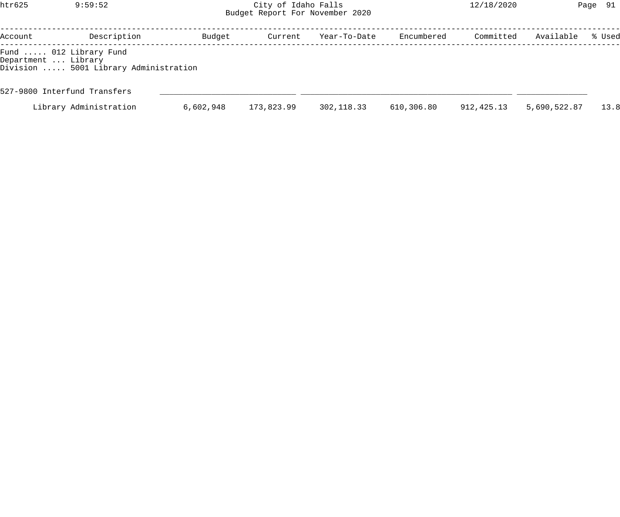## htr625 9:59:52 City of Idaho Falls 12/18/2020 Page 91 Budget Report For November 2020

| Account                                       | Description                           | Budget    | Current    | Year-To-Date | Encumbered | Committed  | Available    | % Used |
|-----------------------------------------------|---------------------------------------|-----------|------------|--------------|------------|------------|--------------|--------|
| Fund  012 Library Fund<br>Department  Library | Division  5001 Library Administration |           |            |              |            |            |              |        |
|                                               | 527-9800 Interfund Transfers          |           |            |              |            |            |              |        |
|                                               | Library Administration                | 6,602,948 | 173,823.99 | 302,118.33   | 610,306.80 | 912,425.13 | 5,690,522.87 | 13.8   |
|                                               |                                       |           |            |              |            |            |              |        |